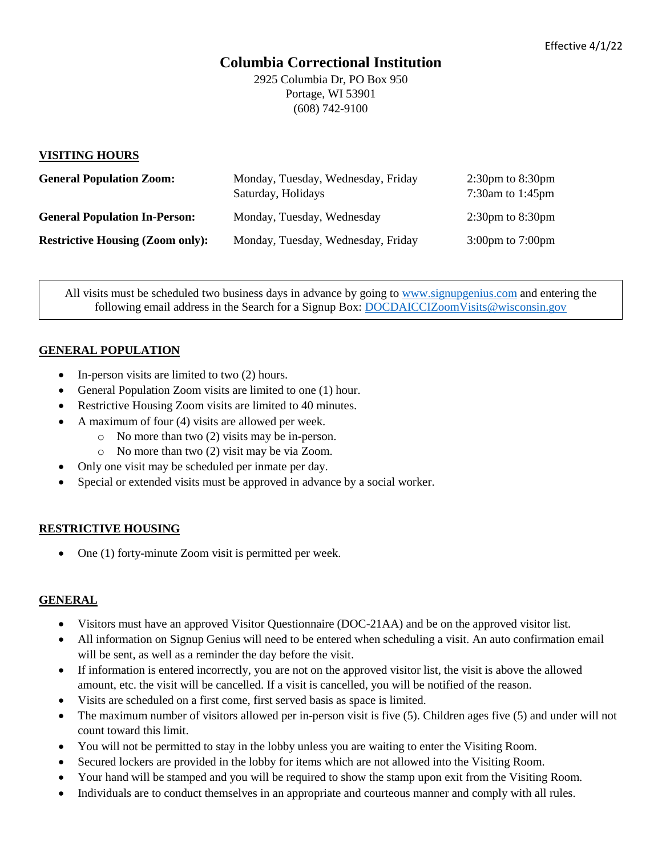# **Columbia Correctional Institution**

2925 Columbia Dr, PO Box 950 Portage, WI 53901 (608) 742-9100

#### **VISITING HOURS**

| <b>General Population Zoom:</b>         | Monday, Tuesday, Wednesday, Friday<br>Saturday, Holidays | $2:30 \text{pm}$ to $8:30 \text{pm}$<br>$7:30$ am to 1:45pm |
|-----------------------------------------|----------------------------------------------------------|-------------------------------------------------------------|
| <b>General Population In-Person:</b>    | Monday, Tuesday, Wednesday                               | $2:30 \text{pm}$ to $8:30 \text{pm}$                        |
| <b>Restrictive Housing (Zoom only):</b> | Monday, Tuesday, Wednesday, Friday                       | $3:00 \text{pm}$ to $7:00 \text{pm}$                        |

All visits must be scheduled two business days in advance by going to [www.signupgenius.com](http://www.signupgenius.com/) and entering the following email address in the Search for a Signup Box: [DOCDAICCIZoomVisits@wisconsin.gov](mailto:DOCDAICCIZoomVisits@wisconsin.gov)

## **GENERAL POPULATION**

- In-person visits are limited to two (2) hours.
- General Population Zoom visits are limited to one (1) hour.
- Restrictive Housing Zoom visits are limited to 40 minutes.
- A maximum of four (4) visits are allowed per week.
	- o No more than two (2) visits may be in-person.
	- o No more than two (2) visit may be via Zoom.
- Only one visit may be scheduled per inmate per day.
- Special or extended visits must be approved in advance by a social worker.

## **RESTRICTIVE HOUSING**

• One (1) forty-minute Zoom visit is permitted per week.

## **GENERAL**

- Visitors must have an approved Visitor Questionnaire (DOC-21AA) and be on the approved visitor list.
- All information on Signup Genius will need to be entered when scheduling a visit. An auto confirmation email will be sent, as well as a reminder the day before the visit.
- If information is entered incorrectly, you are not on the approved visitor list, the visit is above the allowed amount, etc. the visit will be cancelled. If a visit is cancelled, you will be notified of the reason.
- Visits are scheduled on a first come, first served basis as space is limited.
- The maximum number of visitors allowed per in-person visit is five (5). Children ages five (5) and under will not count toward this limit.
- You will not be permitted to stay in the lobby unless you are waiting to enter the Visiting Room.
- Secured lockers are provided in the lobby for items which are not allowed into the Visiting Room.
- Your hand will be stamped and you will be required to show the stamp upon exit from the Visiting Room.
- Individuals are to conduct themselves in an appropriate and courteous manner and comply with all rules.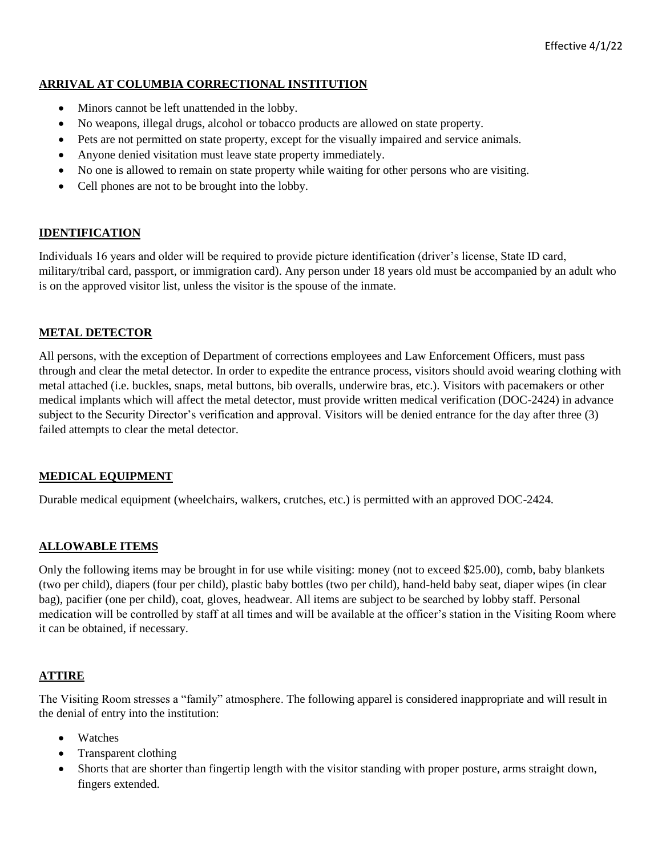# **ARRIVAL AT COLUMBIA CORRECTIONAL INSTITUTION**

- Minors cannot be left unattended in the lobby.
- No weapons, illegal drugs, alcohol or tobacco products are allowed on state property.
- Pets are not permitted on state property, except for the visually impaired and service animals.
- Anyone denied visitation must leave state property immediately.
- No one is allowed to remain on state property while waiting for other persons who are visiting.
- Cell phones are not to be brought into the lobby.

## **IDENTIFICATION**

Individuals 16 years and older will be required to provide picture identification (driver's license, State ID card, military/tribal card, passport, or immigration card). Any person under 18 years old must be accompanied by an adult who is on the approved visitor list, unless the visitor is the spouse of the inmate.

## **METAL DETECTOR**

All persons, with the exception of Department of corrections employees and Law Enforcement Officers, must pass through and clear the metal detector. In order to expedite the entrance process, visitors should avoid wearing clothing with metal attached (i.e. buckles, snaps, metal buttons, bib overalls, underwire bras, etc.). Visitors with pacemakers or other medical implants which will affect the metal detector, must provide written medical verification (DOC-2424) in advance subject to the Security Director's verification and approval. Visitors will be denied entrance for the day after three (3) failed attempts to clear the metal detector.

## **MEDICAL EQUIPMENT**

Durable medical equipment (wheelchairs, walkers, crutches, etc.) is permitted with an approved DOC-2424.

## **ALLOWABLE ITEMS**

Only the following items may be brought in for use while visiting: money (not to exceed \$25.00), comb, baby blankets (two per child), diapers (four per child), plastic baby bottles (two per child), hand-held baby seat, diaper wipes (in clear bag), pacifier (one per child), coat, gloves, headwear. All items are subject to be searched by lobby staff. Personal medication will be controlled by staff at all times and will be available at the officer's station in the Visiting Room where it can be obtained, if necessary.

## **ATTIRE**

The Visiting Room stresses a "family" atmosphere. The following apparel is considered inappropriate and will result in the denial of entry into the institution:

- Watches
- Transparent clothing
- Shorts that are shorter than fingertip length with the visitor standing with proper posture, arms straight down, fingers extended.